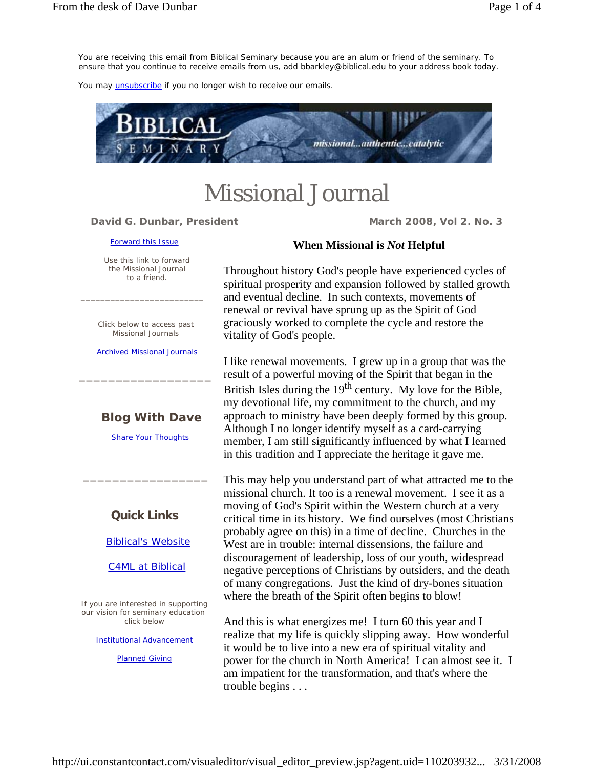You are receiving this email from Biblical Seminary because you are an alum or friend of the seminary. To ensure that you continue to receive emails from us, add bbarkley@biblical.edu to your address book today.

You may *unsubscribe* if you no longer wish to receive our emails.



# Missional Journal

David G. Dunbar, President **March 2008, Vol 2. No. 3** 

#### Forward this Issue

 Use this link to forward the Missional Journal to a friend.

\_\_\_\_\_\_\_\_\_\_\_\_\_\_\_\_\_\_\_\_\_\_\_\_\_

 Click below to access past Missional Journals

Archived Missional Journals

\_\_\_\_\_\_\_\_\_\_\_\_\_\_\_\_\_\_

#### **Blog With Dave**

**Share Your Thoughts** 

## **Quick Links**

\_\_\_\_\_\_\_\_\_\_\_\_\_\_\_\_\_

Biblical's Website

C4ML at Biblical

If you are interested in supporting our vision for seminary education click below

Institutional Advancement

Planned Giving

## **When Missional is** *Not* **Helpful**

Throughout history God's people have experienced cycles of spiritual prosperity and expansion followed by stalled growth and eventual decline. In such contexts, movements of renewal or revival have sprung up as the Spirit of God graciously worked to complete the cycle and restore the vitality of God's people.

I like renewal movements. I grew up in a group that was the result of a powerful moving of the Spirit that began in the British Isles during the 19<sup>th</sup> century. My love for the Bible, my devotional life, my commitment to the church, and my approach to ministry have been deeply formed by this group. Although I no longer identify myself as a card-carrying member, I am still significantly influenced by what I learned in this tradition and I appreciate the heritage it gave me.

This may help you understand part of what attracted me to the missional church. It too is a renewal movement. I see it as a moving of God's Spirit within the Western church at a very critical time in its history. We find ourselves (most Christians probably agree on this) in a time of decline. Churches in the West are in trouble: internal dissensions, the failure and discouragement of leadership, loss of our youth, widespread negative perceptions of Christians by outsiders, and the death of many congregations. Just the kind of dry-bones situation where the breath of the Spirit often begins to blow!

And this is what energizes me! I turn 60 this year and I realize that my life is quickly slipping away. How wonderful it would be to live into a new era of spiritual vitality and power for the church in North America! I can almost see it. I am impatient for the transformation, and that's where the trouble begins . . .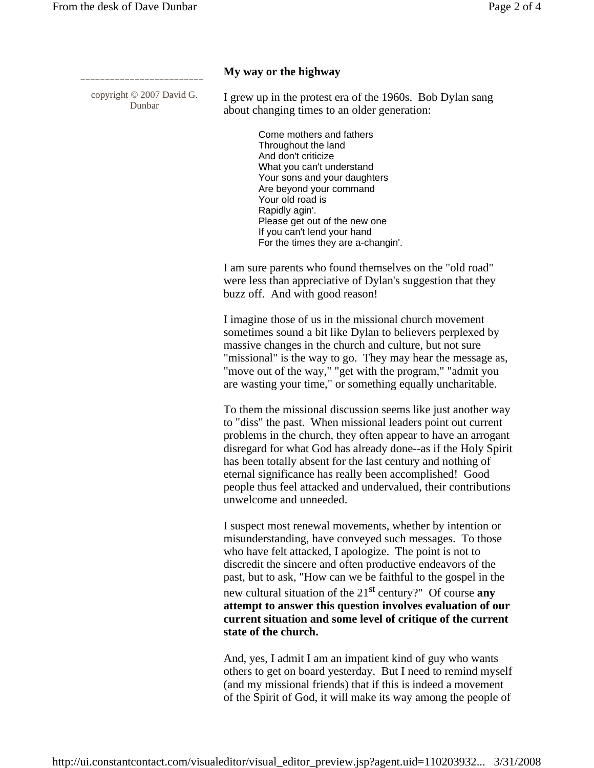## **My way or the highway**

copyright © 2007 David G. Dunbar

 $\frac{1}{2}$  ,  $\frac{1}{2}$  ,  $\frac{1}{2}$  ,  $\frac{1}{2}$  ,  $\frac{1}{2}$  ,  $\frac{1}{2}$  ,  $\frac{1}{2}$  ,  $\frac{1}{2}$  ,  $\frac{1}{2}$  ,  $\frac{1}{2}$  ,  $\frac{1}{2}$  ,  $\frac{1}{2}$  ,  $\frac{1}{2}$  ,  $\frac{1}{2}$  ,  $\frac{1}{2}$  ,  $\frac{1}{2}$  ,  $\frac{1}{2}$  ,  $\frac{1}{2}$  ,  $\frac{1$ 

I grew up in the protest era of the 1960s. Bob Dylan sang about changing times to an older generation:

> Come mothers and fathers Throughout the land And don't criticize What you can't understand Your sons and your daughters Are beyond your command Your old road is Rapidly agin'. Please get out of the new one If you can't lend your hand For the times they are a-changin'.

I am sure parents who found themselves on the "old road" were less than appreciative of Dylan's suggestion that they buzz off. And with good reason!

I imagine those of us in the missional church movement sometimes sound a bit like Dylan to believers perplexed by massive changes in the church and culture, but not sure "missional" is the way to go. They may hear the message as, "move out of the way," "get with the program," "admit you are wasting your time," or something equally uncharitable.

To them the missional discussion seems like just another way to "diss" the past. When missional leaders point out current problems in the church, they often appear to have an arrogant disregard for what God has already done--as if the Holy Spirit has been totally absent for the last century and nothing of eternal significance has really been accomplished! Good people thus feel attacked and undervalued, their contributions unwelcome and unneeded.

I suspect most renewal movements, whether by intention or misunderstanding, have conveyed such messages. To those who have felt attacked, I apologize. The point is not to discredit the sincere and often productive endeavors of the past, but to ask, "How can we be faithful to the gospel in the new cultural situation of the 21st century?" Of course **any attempt to answer this question involves evaluation of our current situation and some level of critique of the current state of the church.**

And, yes, I admit I am an impatient kind of guy who wants others to get on board yesterday. But I need to remind myself (and my missional friends) that if this is indeed a movement of the Spirit of God, it will make its way among the people of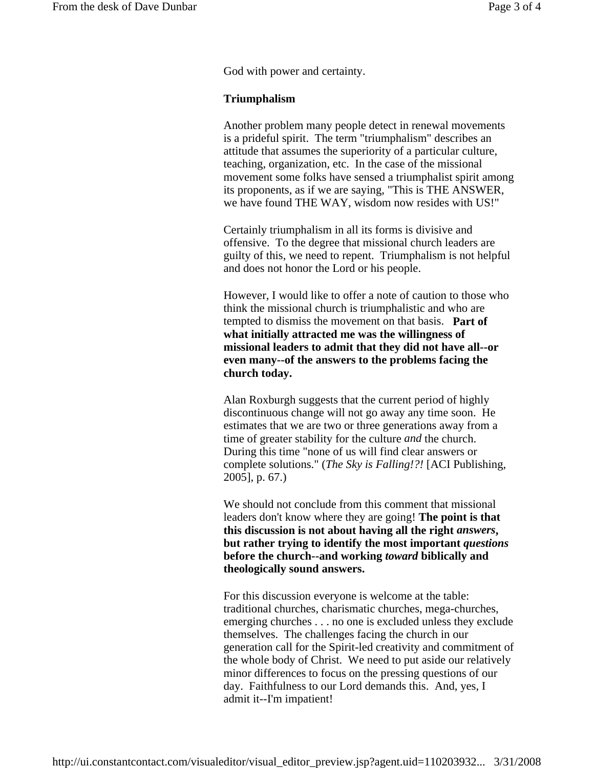God with power and certainty.

#### **Triumphalism**

Another problem many people detect in renewal movements is a prideful spirit. The term "triumphalism" describes an attitude that assumes the superiority of a particular culture, teaching, organization, etc. In the case of the missional movement some folks have sensed a triumphalist spirit among its proponents, as if we are saying, "This is THE ANSWER, we have found THE WAY, wisdom now resides with US!"

Certainly triumphalism in all its forms is divisive and offensive. To the degree that missional church leaders are guilty of this, we need to repent. Triumphalism is not helpful and does not honor the Lord or his people.

However, I would like to offer a note of caution to those who think the missional church is triumphalistic and who are tempted to dismiss the movement on that basis. **Part of what initially attracted me was the willingness of missional leaders to admit that they did not have all--or even many--of the answers to the problems facing the church today.** 

Alan Roxburgh suggests that the current period of highly discontinuous change will not go away any time soon. He estimates that we are two or three generations away from a time of greater stability for the culture *and* the church. During this time "none of us will find clear answers or complete solutions." (*The Sky is Falling!?!* [ACI Publishing, 2005], p. 67.)

We should not conclude from this comment that missional leaders don't know where they are going! **The point is that this discussion is not about having all the right** *answers***, but rather trying to identify the most important** *questions* **before the church--and working** *toward* **biblically and theologically sound answers.** 

For this discussion everyone is welcome at the table: traditional churches, charismatic churches, mega-churches, emerging churches . . . no one is excluded unless they exclude themselves. The challenges facing the church in our generation call for the Spirit-led creativity and commitment of the whole body of Christ. We need to put aside our relatively minor differences to focus on the pressing questions of our day. Faithfulness to our Lord demands this. And, yes, I admit it--I'm impatient!